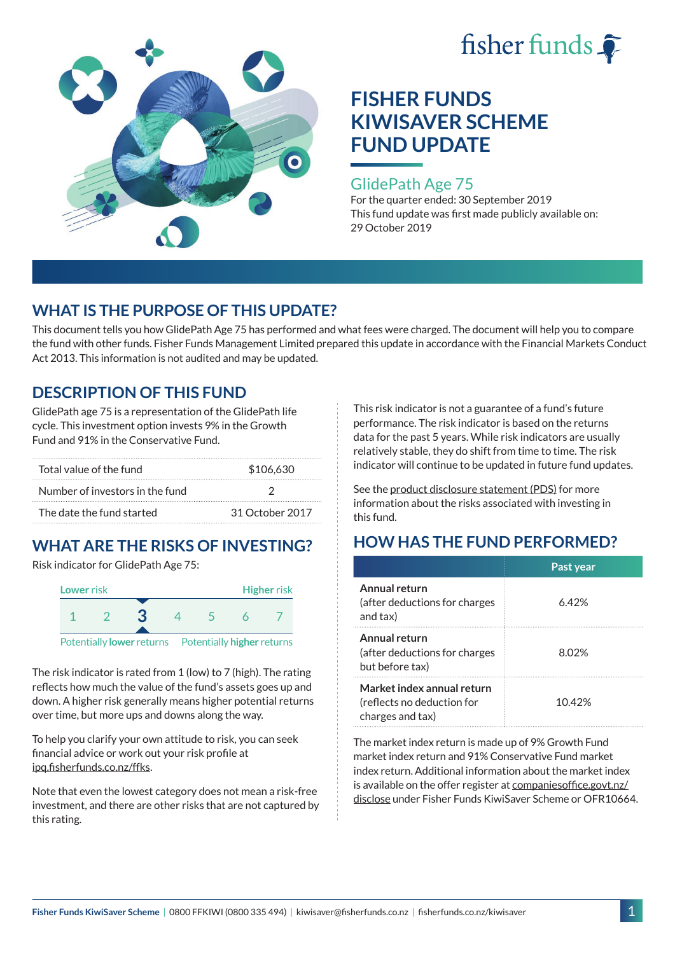



#### GlidePath Age 75

For the quarter ended: 30 September 2019 This fund update was first made publicly available on: 29 October 2019

## **WHAT IS THE PURPOSE OF THIS UPDATE?**

This document tells you how GlidePath Age 75 has performed and what fees were charged. The document will help you to compare the fund with other funds. Fisher Funds Management Limited prepared this update in accordance with the Financial Markets Conduct Act 2013. This information is not audited and may be updated.

## **DESCRIPTION OF THIS FUND**

GlidePath age 75 is a representation of the GlidePath life cycle. This investment option invests 9% in the Growth Fund and 91% in the Conservative Fund.

| Total value of the fund         | \$106,630       |  |
|---------------------------------|-----------------|--|
| Number of investors in the fund |                 |  |
| The date the fund started       | 31 October 2017 |  |

# **WHAT ARE THE RISKS OF INVESTING?**

Risk indicator for GlidePath Age 75:



Potentially **lower** returns Potentially **higher** returns

The risk indicator is rated from 1 (low) to 7 (high). The rating reflects how much the value of the fund's assets goes up and down. A higher risk generally means higher potential returns over time, but more ups and downs along the way.

To help you clarify your own attitude to risk, you can seek financial advice or work out your risk profile at [ipq.fisherfunds.co.nz/ffks](https://ipq.fisherfunds.co.nz/ffks).

Note that even the lowest category does not mean a risk-free investment, and there are other risks that are not captured by this rating.

This risk indicator is not a guarantee of a fund's future performance. The risk indicator is based on the returns data for the past 5 years. While risk indicators are usually relatively stable, they do shift from time to time. The risk indicator will continue to be updated in future fund updates.

See the [product disclosure statement \(PDS\)](https://fisherfunds.co.nz/assets/PDS/Fisher-Funds-KiwiSaver-Scheme-PDS.pdf) for more information about the risks associated with investing in this fund.

## **HOW HAS THE FUND PERFORMED?**

|                                                                              | Past year |
|------------------------------------------------------------------------------|-----------|
| Annual return<br>(after deductions for charges<br>and tax)                   | 6.42%     |
| Annual return<br>(after deductions for charges<br>but before tax)            | 8.02%     |
| Market index annual return<br>(reflects no deduction for<br>charges and tax) | 1042%     |

The market index return is made up of 9% Growth Fund market index return and 91% Conservative Fund market index return. Additional information about the market index is available on the offer register at [companiesoffice.govt.nz/](http://companiesoffice.govt.nz/disclose) [disclose](http://companiesoffice.govt.nz/disclose) under Fisher Funds KiwiSaver Scheme or OFR10664.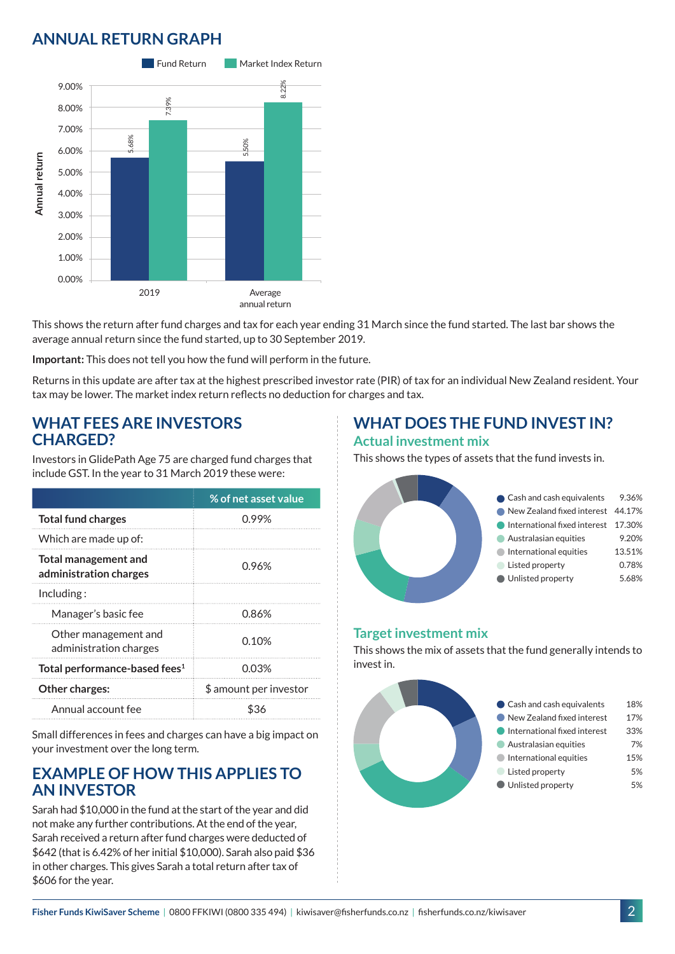## **ANNUAL RETURN GRAPH**



This shows the return after fund charges and tax for each year ending 31 March since the fund started. The last bar shows the average annual return since the fund started, up to 30 September 2019.

**Important:** This does not tell you how the fund will perform in the future.

Returns in this update are after tax at the highest prescribed investor rate (PIR) of tax for an individual New Zealand resident. Your tax may be lower. The market index return reflects no deduction for charges and tax.

#### **WHAT FEES ARE INVESTORS CHARGED?**

Investors in GlidePath Age 75 are charged fund charges that include GST. In the year to 31 March 2019 these were:

|                                                | % of net asset value   |
|------------------------------------------------|------------------------|
| <b>Total fund charges</b>                      | 0.99%                  |
| Which are made up of:                          |                        |
| Total management and<br>administration charges | 0.96%                  |
| Including:                                     |                        |
| Manager's basic fee                            | 0.86%                  |
| Other management and<br>administration charges | 0.10%                  |
| Total performance-based fees <sup>1</sup>      | 0.03%                  |
| Other charges:                                 | \$ amount per investor |
| Annual account fee                             | \$36                   |

Small differences in fees and charges can have a big impact on your investment over the long term.

### **EXAMPLE OF HOW THIS APPLIES TO AN INVESTOR**

Sarah had \$10,000 in the fund at the start of the year and did not make any further contributions. At the end of the year, Sarah received a return after fund charges were deducted of \$642 (that is 6.42% of her initial \$10,000). Sarah also paid \$36 in other charges. This gives Sarah a total return after tax of \$606 for the year.

### **WHAT DOES THE FUND INVEST IN? Actual investment mix**

This shows the types of assets that the fund invests in.



#### **Target investment mix**

This shows the mix of assets that the fund generally intends to invest in.